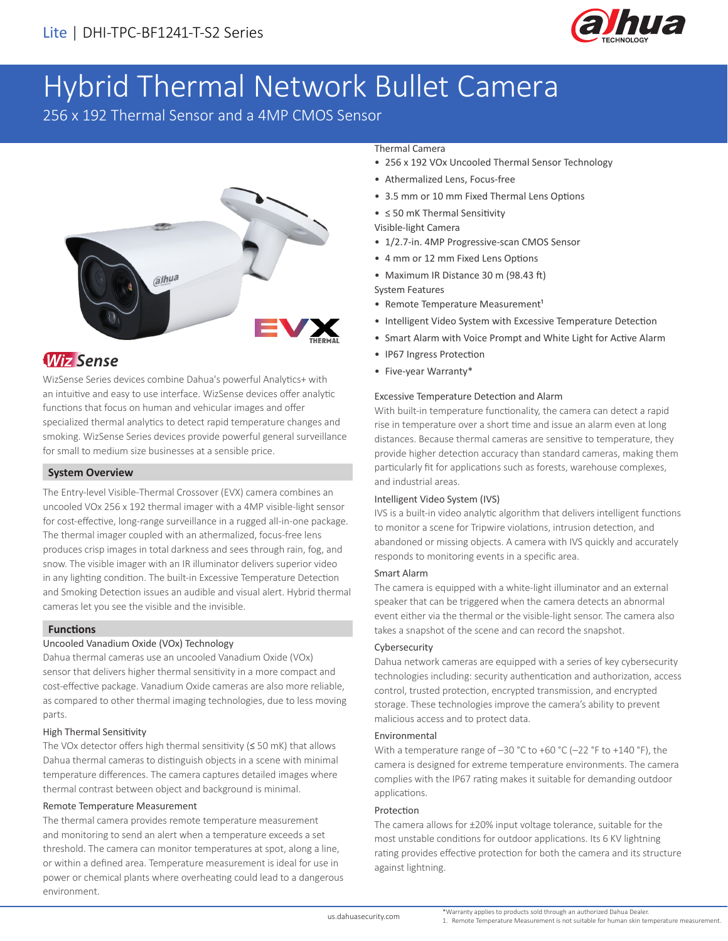

# Hybrid Thermal Network Bullet Camera

256 x 192 Thermal Sensor and a 4MP CMOS Sensor



# **Wiz Sense**

WizSense Series devices combine Dahua's powerful Analytics+ with an intuitive and easy to use interface. WizSense devices offer analytic functions that focus on human and vehicular images and offer specialized thermal analytics to detect rapid temperature changes and smoking. WizSense Series devices provide powerful general surveillance for small to medium size businesses at a sensible price.

# **System Overview**

The Entry-level Visible-Thermal Crossover (EVX) camera combines an uncooled VOx 256 x 192 thermal imager with a 4MP visible-light sensor for cost-effective, long-range surveillance in a rugged all-in-one package. The thermal imager coupled with an athermalized, focus-free lens produces crisp images in total darkness and sees through rain, fog, and snow. The visible imager with an IR illuminator delivers superior video in any lighting condition. The built-in Excessive Temperature Detection and Smoking Detection issues an audible and visual alert. Hybrid thermal cameras let you see the visible and the invisible.

## **Functions**

# Uncooled Vanadium Oxide (VOx) Technology

Dahua thermal cameras use an uncooled Vanadium Oxide (VOx) sensor that delivers higher thermal sensitivity in a more compact and cost-effective package. Vanadium Oxide cameras are also more reliable, as compared to other thermal imaging technologies, due to less moving parts.

## High Thermal Sensitivity

The VOx detector offers high thermal sensitivity (≤ 50 mK) that allows Dahua thermal cameras to distinguish objects in a scene with minimal temperature differences. The camera captures detailed images where thermal contrast between object and background is minimal.

#### Remote Temperature Measurement

The thermal camera provides remote temperature measurement and monitoring to send an alert when a temperature exceeds a set threshold. The camera can monitor temperatures at spot, along a line, or within a defined area. Temperature measurement is ideal for use in power or chemical plants where overheating could lead to a dangerous environment.

#### Thermal Camera

- 256 x 192 VOx Uncooled Thermal Sensor Technology
- Athermalized Lens, Focus-free
- 3.5 mm or 10 mm Fixed Thermal Lens Options
- ≤ 50 mK Thermal Sensitivity
- Visible-light Camera
- 1/2.7-in. 4MP Progressive-scan CMOS Sensor
- 4 mm or 12 mm Fixed Lens Options
- Maximum IR Distance 30 m (98.43 ft)
- System Features
- Remote Temperature Measurement<sup>1</sup>
- Intelligent Video System with Excessive Temperature Detection
- Smart Alarm with Voice Prompt and White Light for Active Alarm
- IP67 Ingress Protection
- Five-year Warranty\*

#### Excessive Temperature Detection and Alarm

With built-in temperature functionality, the camera can detect a rapid rise in temperature over a short time and issue an alarm even at long distances. Because thermal cameras are sensitive to temperature, they provide higher detection accuracy than standard cameras, making them particularly fit for applications such as forests, warehouse complexes, and industrial areas.

#### Intelligent Video System (IVS)

IVS is a built-in video analytic algorithm that delivers intelligent functions to monitor a scene for Tripwire violations, intrusion detection, and abandoned or missing objects. A camera with IVS quickly and accurately responds to monitoring events in a specific area.

#### Smart Alarm

The camera is equipped with a white-light illuminator and an external speaker that can be triggered when the camera detects an abnormal event either via the thermal or the visible-light sensor. The camera also takes a snapshot of the scene and can record the snapshot.

#### Cybersecurity

Dahua network cameras are equipped with a series of key cybersecurity technologies including: security authentication and authorization, access control, trusted protection, encrypted transmission, and encrypted storage. These technologies improve the camera's ability to prevent malicious access and to protect data.

#### Environmental

With a temperature range of –30 °C to +60 °C (–22 °F to +140 °F), the camera is designed for extreme temperature environments. The camera complies with the IP67 rating makes it suitable for demanding outdoor applications.

#### Protection

The camera allows for ±20% input voltage tolerance, suitable for the most unstable conditions for outdoor applications. Its 6 KV lightning rating provides effective protection for both the camera and its structure against lightning.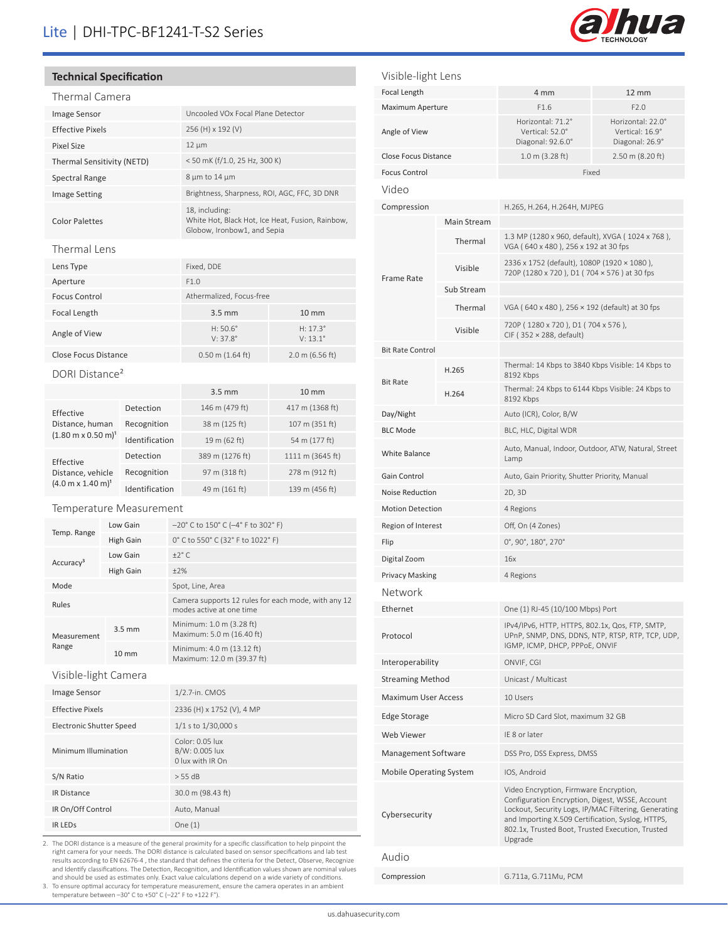# Lite | DHI-TPC-BF1241-T-S2 Series



## **Technical Specification**

| Thermal Camera                             |                   |                       |  |                                                                                                   |                                      |  |  |
|--------------------------------------------|-------------------|-----------------------|--|---------------------------------------------------------------------------------------------------|--------------------------------------|--|--|
| <b>Image Sensor</b>                        |                   |                       |  | Uncooled VOx Focal Plane Detector                                                                 |                                      |  |  |
| <b>Effective Pixels</b>                    |                   |                       |  | 256 (H) x 192 (V)                                                                                 |                                      |  |  |
| <b>Pixel Size</b>                          |                   |                       |  | 12 μm                                                                                             |                                      |  |  |
| Thermal Sensitivity (NETD)                 |                   |                       |  | < 50 mK (f/1.0, 25 Hz, 300 K)                                                                     |                                      |  |  |
| Spectral Range                             |                   |                       |  | 8 µm to 14 µm                                                                                     |                                      |  |  |
| <b>Image Setting</b>                       |                   |                       |  | Brightness, Sharpness, ROI, AGC, FFC, 3D DNR                                                      |                                      |  |  |
| <b>Color Palettes</b>                      |                   |                       |  | 18, including:<br>White Hot, Black Hot, Ice Heat, Fusion, Rainbow,<br>Globow, Ironbow1, and Sepia |                                      |  |  |
| Thermal Lens                               |                   |                       |  |                                                                                                   |                                      |  |  |
| Lens Type                                  |                   |                       |  | Fixed, DDE                                                                                        |                                      |  |  |
| Aperture                                   |                   |                       |  | F1.0                                                                                              |                                      |  |  |
| <b>Focus Control</b>                       |                   |                       |  | Athermalized, Focus-free                                                                          |                                      |  |  |
| Focal Length                               |                   |                       |  | $3.5 \text{ mm}$                                                                                  | $10 \, \text{mm}$                    |  |  |
| Angle of View                              |                   |                       |  | $H: 50.6^{\circ}$<br>$V: 37.8^{\circ}$                                                            | $H: 17.3^\circ$<br>$V: 13.1^{\circ}$ |  |  |
| <b>Close Focus Distance</b>                |                   |                       |  | $0.50$ m $(1.64$ ft)                                                                              | $2.0 \text{ m}$ (6.56 ft)            |  |  |
| DORI Distance <sup>2</sup>                 |                   |                       |  |                                                                                                   |                                      |  |  |
|                                            |                   |                       |  | $3.5 \text{ mm}$                                                                                  | $10 \text{ mm}$                      |  |  |
|                                            |                   | Detection             |  | 146 m (479 ft)                                                                                    | 417 m (1368 ft)                      |  |  |
| Effective<br>Distance, human               |                   | Recognition           |  | 38 m (125 ft)                                                                                     | 107 m (351 ft)                       |  |  |
| $(1.80 \text{ m} \times 0.50 \text{ m})^1$ |                   | Identification        |  | 19 m (62 ft)                                                                                      | 54 m (177 ft)                        |  |  |
|                                            |                   | Detection             |  | 389 m (1276 ft)                                                                                   | 1111 m (3645 ft)                     |  |  |
| Effective<br>Distance, vehicle             |                   | Recognition           |  | 97 m (318 ft)                                                                                     | 278 m (912 ft)                       |  |  |
| $(4.0 \text{ m} \times 1.40 \text{ m})^1$  |                   | Identification        |  | 49 m (161 ft)                                                                                     | 139 m (456 ft)                       |  |  |
| Temperature Measurement                    |                   |                       |  |                                                                                                   |                                      |  |  |
|                                            |                   |                       |  |                                                                                                   |                                      |  |  |
| Temp. Range                                |                   | Low Gain              |  | -20° C to 150° C (-4° F to 302° F)                                                                |                                      |  |  |
|                                            |                   | <b>High Gain</b>      |  | 0° C to 550° C (32° F to 1022° F)                                                                 |                                      |  |  |
| Accuracy <sup>3</sup>                      |                   | Low Gain<br>High Gain |  | $\pm 2^{\circ}$ C<br>±2%                                                                          |                                      |  |  |
| Mode                                       |                   |                       |  | Spot, Line, Area                                                                                  |                                      |  |  |
|                                            |                   |                       |  | Camera supports 12 rules for each mode, with any 12                                               |                                      |  |  |
| Rules                                      |                   |                       |  | modes active at one time                                                                          |                                      |  |  |
| Measurement<br>Range                       |                   | $3.5 \text{ mm}$      |  | Minimum: 1.0 m (3.28 ft)<br>Maximum: 5.0 m (16.40 ft)                                             |                                      |  |  |
|                                            | $10 \, \text{mm}$ |                       |  | Minimum: 4.0 m (13.12 ft)<br>Maximum: 12.0 m (39.37 ft)                                           |                                      |  |  |
| Visible-light Camera                       |                   |                       |  |                                                                                                   |                                      |  |  |
| Image Sensor                               |                   |                       |  | 1/2.7-in. CMOS                                                                                    |                                      |  |  |
| <b>Effective Pixels</b>                    |                   |                       |  | 2336 (H) x 1752 (V), 4 MP                                                                         |                                      |  |  |
| <b>Electronic Shutter Speed</b>            |                   |                       |  | 1/1 s to 1/30,000 s                                                                               |                                      |  |  |
| Minimum Illumination                       |                   |                       |  | Color: 0.05 lux<br>B/W: 0.005 lux<br>0 lux with IR On                                             |                                      |  |  |
| S/N Ratio                                  |                   |                       |  | > 55 dB                                                                                           |                                      |  |  |
| IR Distance                                |                   |                       |  | 30.0 m (98.43 ft)                                                                                 |                                      |  |  |
| IR On/Off Control                          |                   |                       |  | Auto, Manual                                                                                      |                                      |  |  |
| <b>IR LEDS</b>                             |                   |                       |  | One (1)                                                                                           |                                      |  |  |

2. The DORI distance is a measure of the general proximity for a specific classification to help pinpoint the right camera for your needs. The DORI distance is calculated based on sensor specifications and lab test results according to EN 62676-4 , the standard that defines the criteria for the Detect, Observe, Recognize and Identify classifications. The Detection, Recognition, and Identification values shown are nominal values and should be used as estimates only. Exact value calculations depend on a wide variety of conditions. 3. To ensure optimal accuracy for temperature measurement, ensure the camera operates in an ambient temperature between –30° C to +50° C (–22° F to +122 F°).

Video Compression H.265, H.264, H.264H, MJPEG Frame Rate Main Stream Thermal 1.3 MP (1280 x 960, default), XVGA ( 1024 x 768 ), VGA ( 640 x 480 ), 256 x 192 at 30 fps Visible 2336 x 1752 (default), 1080P (1920 × 1080 ), 720P (1280 x 720 ), D1 ( 704 × 576 ) at 30 fps Sub Stream Thermal VGA ( $640 \times 480$ ),  $256 \times 192$  (default) at 30 fps Visible 720P ( 1280 x 720 ), D1 ( 704 x 576 ), CIF ( 352 × 288, default) Bit Rate Control Bit Rate H.265 Thermal: 14 Kbps to 3840 Kbps Visible: 14 Kbps to 8192 Kbps H.264 Thermal: 24 Kbps to 6144 Kbps Visible: 24 Kbps to 8192 Kbps Day/Night Auto (ICR), Color, B/W BLC Mode BLC, HLC, Digital WDR White Balance **Auto, Manual, Indoor, Outdoor, ATW, Natural, Street** Lamp Gain Control **Auto**, Gain Priority, Shutter Priority, Manual Noise Reduction 2D, 3D Motion Detection 4 Regions Region of Interest Off, On (4 Zones) Flip 0°, 90°, 180°, 270° Digital Zoom 16x Privacy Masking 4 Regions Network Ethernet One (1) RJ-45 (10/100 Mbps) Port Protocol IPv4/IPv6, HTTP, HTTPS, 802.1x, Qos, FTP, SMTP, UPnP, SNMP, DNS, DDNS, NTP, RTSP, RTP, TCP, UDP, IGMP, ICMP, DHCP, PPPoE, ONVIF Interoperability ONVIF, CGI Streaming Method Unicast / Multicast Maximum User Access 10 Users Edge Storage Micro SD Card Slot, maximum 32 GB Web Viewer **IE 8 or later** Management Software DSS Pro, DSS Express, DMSS Mobile Operating System IOS, Android Cybersecurity Video Encryption, Firmware Encryption, Configuration Encryption, Digest, WSSE, Account Lockout, Security Logs, IP/MAC Filtering, Generating and Importing X.509 Certification, Syslog, HTTPS, 802.1x, Trusted Boot, Trusted Execution, Trusted Upgrade Audio Compression G.711a, G.711Mu, PCM Visible-light Lens Focal Length **4 mm** 12 mm Maximum Aperture F1.6 F2.0 Angle of View Horizontal: 71.2° Vertical: 52.0° Diagonal: 92.6.0° Horizontal: 22.0° Vertical: 16.9° Diagonal: 26.9° Close Focus Distance 1.0 m (3.28 ft) 2.50 m (8.20 ft) **Focus Control** Fixed